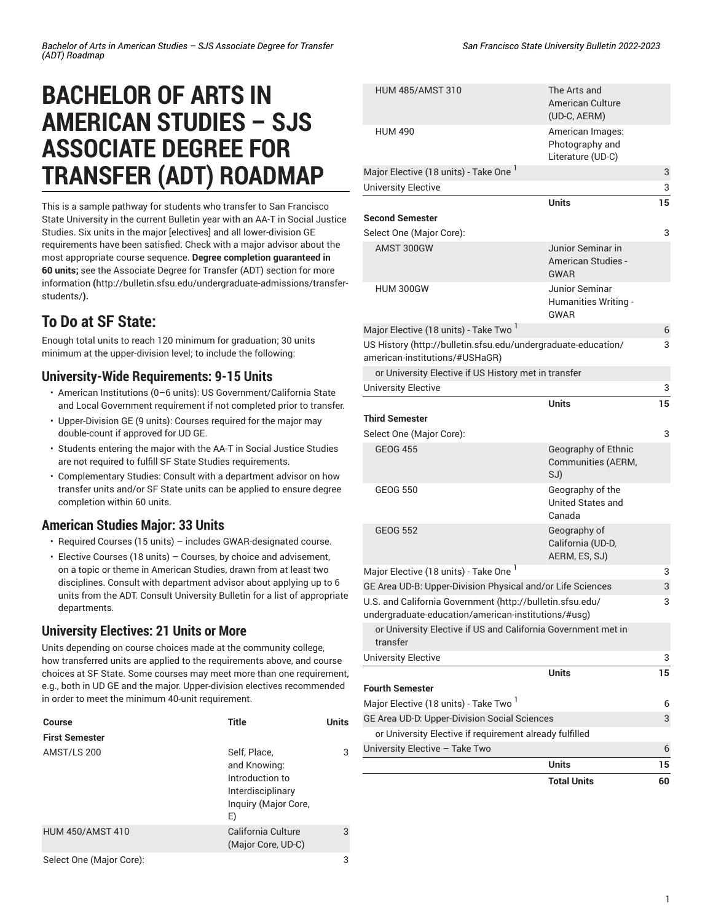# **BACHELOR OF ARTS IN AMERICAN STUDIES – SJS ASSOCIATE DEGREE FOR TRANSFER (ADT) ROADMAP**

This is a sample pathway for students who transfer to San Francisco State University in the current Bulletin year with an AA-T in Social Justice Studies. Six units in the major [electives] and all lower-division GE requirements have been satisfied. Check with a major advisor about the most appropriate course sequence. **Degree completion guaranteed in 60 units;** see the [Associate](http://bulletin.sfsu.edu/undergraduate-admissions/transfer-students/) Degree for Transfer (ADT) section for more [information](http://bulletin.sfsu.edu/undergraduate-admissions/transfer-students/) **(**[http://bulletin.sfsu.edu/undergraduate-admissions/transfer](http://bulletin.sfsu.edu/undergraduate-admissions/transfer-students/)[students/](http://bulletin.sfsu.edu/undergraduate-admissions/transfer-students/)**).**

## **To Do at SF State:**

Enough total units to reach 120 minimum for graduation; 30 units minimum at the upper-division level; to include the following:

#### **University-Wide Requirements: 9-15 Units**

- American Institutions (0–6 units): US Government/California State and Local Government requirement if not completed prior to transfer.
- Upper-Division GE (9 units): Courses required for the major may double-count if approved for UD GE.
- Students entering the major with the AA-T in Social Justice Studies are not required to fulfill SF State Studies requirements.
- Complementary Studies: Consult with a department advisor on how transfer units and/or SF State units can be applied to ensure degree completion within 60 units.

### **American Studies Major: 33 Units**

- Required Courses (15 units) includes GWAR-designated course.
- Elective Courses (18 units) Courses, by choice and advisement, on a topic or theme in American Studies, drawn from at least two disciplines. Consult with department advisor about applying up to 6 units from the ADT. Consult University Bulletin for a list of appropriate departments.

### **University Electives: 21 Units or More**

Units depending on course choices made at the community college, how transferred units are applied to the requirements above, and course choices at SF State. Some courses may meet more than one requirement, e.g., both in UD GE and the major. Upper-division electives recommended in order to meet the minimum 40-unit requirement.

| Course                  | <b>Title</b>                                                                                       | Units |
|-------------------------|----------------------------------------------------------------------------------------------------|-------|
| <b>First Semester</b>   |                                                                                                    |       |
| AMST/LS 200             | Self, Place,<br>and Knowing:<br>Introduction to<br>Interdisciplinary<br>Inquiry (Major Core,<br>E) | 3     |
| <b>HUM 450/AMST 410</b> | California Culture<br>(Major Core, UD-C)                                                           | 3     |
| Select One (Maior Core) |                                                                                                    | c     |

| <b>HUM 485/AMST 310</b>                                                                                          | The Arts and<br>American Culture<br>(UD-C, AERM)              |    |
|------------------------------------------------------------------------------------------------------------------|---------------------------------------------------------------|----|
| <b>HUM 490</b>                                                                                                   | American Images:<br>Photography and<br>Literature (UD-C)      |    |
| Major Elective (18 units) - Take One <sup>1</sup>                                                                |                                                               | 3  |
| <b>University Elective</b>                                                                                       |                                                               | 3  |
|                                                                                                                  | <b>Units</b>                                                  | 15 |
| <b>Second Semester</b>                                                                                           |                                                               |    |
| Select One (Major Core):                                                                                         |                                                               | 3  |
| AMST 300GW                                                                                                       | Junior Seminar in<br><b>American Studies -</b><br><b>GWAR</b> |    |
| <b>HUM 300GW</b>                                                                                                 | Junior Seminar<br>Humanities Writing -<br>GWAR                |    |
| Major Elective (18 units) - Take Two <sup>1</sup>                                                                |                                                               | 6  |
| US History (http://bulletin.sfsu.edu/undergraduate-education/<br>american-institutions/#USHaGR)                  |                                                               | 3  |
| or University Elective if US History met in transfer                                                             |                                                               |    |
| <b>University Elective</b>                                                                                       |                                                               | 3  |
|                                                                                                                  | <b>Units</b>                                                  | 15 |
| Third Semester                                                                                                   |                                                               |    |
| Select One (Major Core):                                                                                         |                                                               | 3  |
| <b>GEOG 455</b>                                                                                                  | Geography of Ethnic<br>Communities (AERM,<br>SJ)              |    |
| <b>GEOG 550</b>                                                                                                  | Geography of the<br>United States and<br>Canada               |    |
| <b>GEOG 552</b>                                                                                                  | Geography of<br>California (UD-D,<br>AERM, ES, SJ)            |    |
| Major Elective (18 units) - Take One <sup>1</sup>                                                                |                                                               | 3  |
| GE Area UD-B: Upper-Division Physical and/or Life Sciences                                                       |                                                               | 3  |
| U.S. and California Government (http://bulletin.sfsu.edu/<br>undergraduate-education/american-institutions/#usg) |                                                               | 3  |
| or University Elective if US and California Government met in<br>transfer                                        |                                                               |    |
| University Elective                                                                                              |                                                               | 3  |
|                                                                                                                  | <b>Units</b>                                                  | 15 |
| Fourth Semester                                                                                                  |                                                               |    |
| Major Elective (18 units) - Take Two <sup>1</sup>                                                                |                                                               | 6  |
| GE Area UD-D: Upper-Division Social Sciences                                                                     |                                                               | 3  |
| or University Elective if requirement already fulfilled                                                          |                                                               |    |
| University Elective - Take Two                                                                                   |                                                               | 6  |
|                                                                                                                  | <b>Units</b>                                                  | 15 |
|                                                                                                                  | <b>Total Units</b>                                            | 60 |